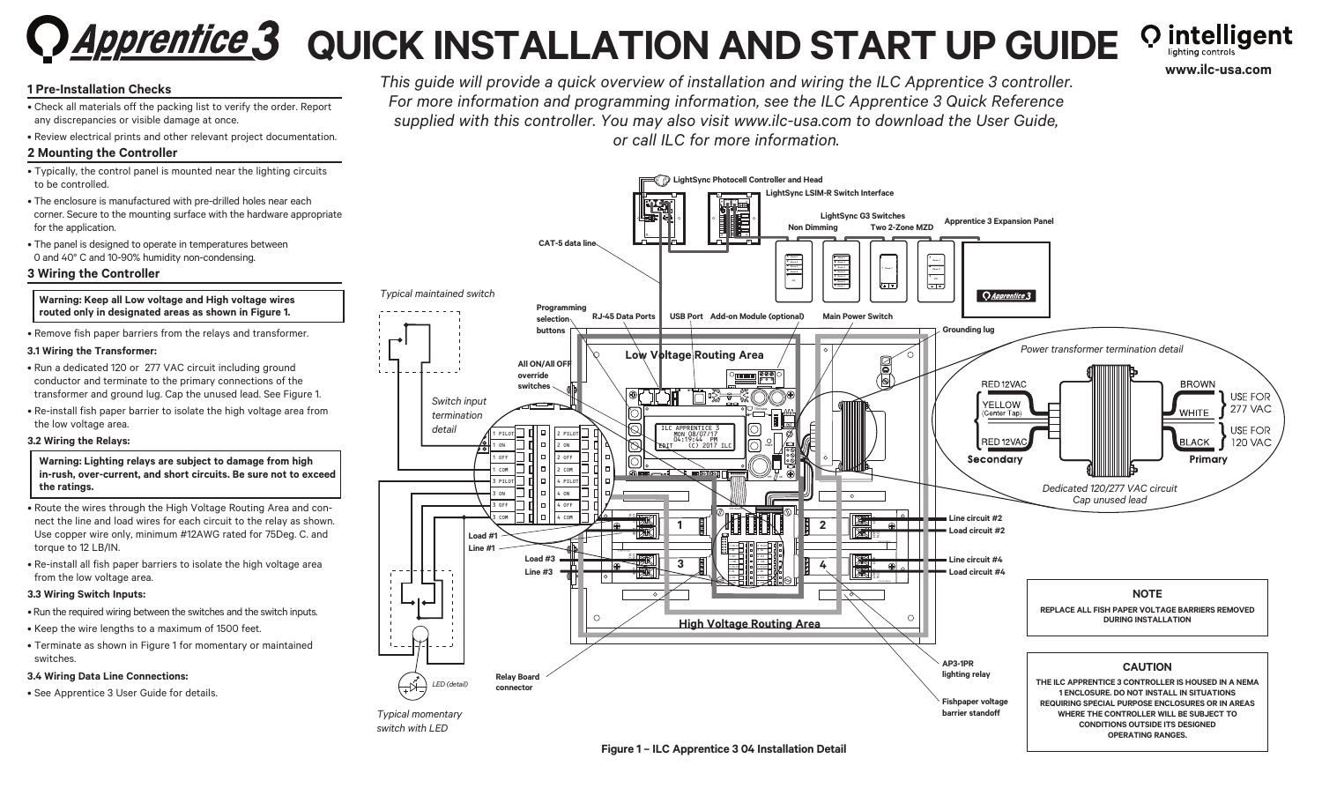# **Q** Apprentice 3 QUICK INSTALLATION AND START UP GUIDE

**Q** intelligent **www.ilc-usa.com**

# **1 Pre-Installation Checks**

- Check all materials off the packing list to verify the order. Report any discrepancies or visible damage at once.
- Review electrical prints and other relevant project documentation.

## **2 Mounting the Controller**

- Typically, the control panel is mounted near the lighting circuits to be controlled.
- The enclosure is manufactured with pre-drilled holes near each corner. Secure to the mounting surface with the hardware appropriate for the application.
- The panel is designed to operate in temperatures between 0 and 40° C and 10-90% humidity non-condensing.

#### **3 Wiring the Controller**



• Remove fish paper barriers from the relays and transformer.

#### **3.1 Wiring the Transformer:**

- Run a dedicated 120 or 277 VAC circuit including ground conductor and terminate to the primary connections of the transformer and ground lug. Cap the unused lead. See Figure 1.
- Re-install fish paper barrier to isolate the high voltage area from the low voltage area.

#### **3.2 Wiring the Relays:**

- **Warning: Lighting relays are subject to damage from high in-rush, over-current, and short circuits. Be sure not to exceed the ratings.**
- Route the wires through the High Voltage Routing Area and connect the line and load wires for each circuit to the relay as shown. Use copper wire only, minimum #12AWG rated for 75Deg. C. and torque to 12 LB/IN.
- Re-install all fish paper barriers to isolate the high voltage area from the low voltage area.

#### **3.3 Wiring Switch Inputs:**

- Run the required wiring between the switches and the switch inputs.
- Keep the wire lengths to a maximum of 1500 feet.
- Terminate as shown in Figure 1 for momentary or maintained switches.

#### **3.4 Wiring Data Line Connections:**

• See Apprentice 3 User Guide for details.





#### **Figure 1 – ILC Apprentice 3 04 Installation Detail**